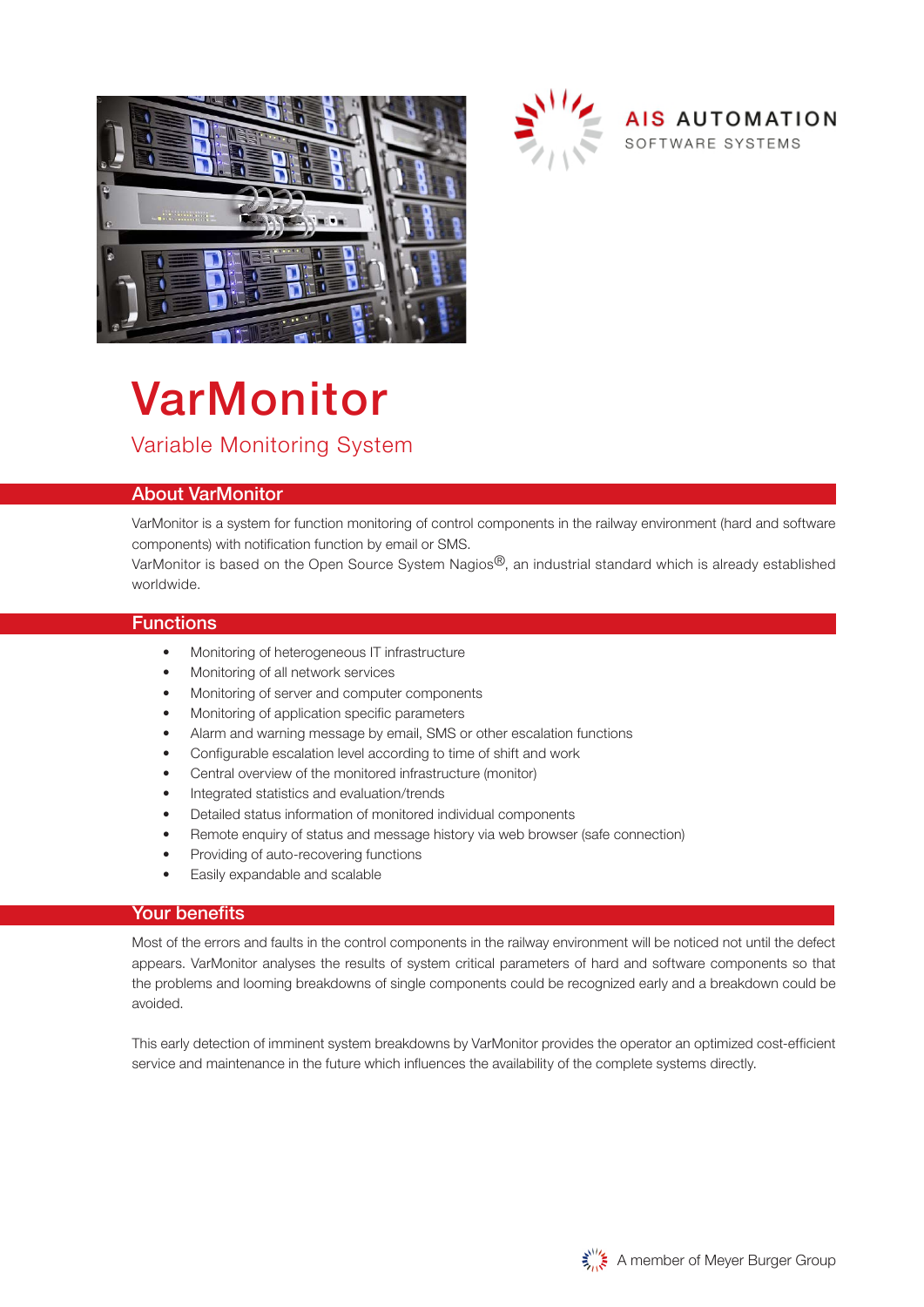



# VarMonitor Variable Monitoring System

## About VarMonitor

VarMonitor is a system for function monitoring of control components in the railway environment (hard and software components) with notification function by email or SMS.

VarMonitor is based on the Open Source System Nagios<sup>®</sup>, an industrial standard which is already established worldwide.

#### **Functions**

- Monitoring of heterogeneous IT infrastructure
- Monitoring of all network services
- Monitoring of server and computer components
- Monitoring of application specific parameters
- Alarm and warning message by email, SMS or other escalation functions
- Configurable escalation level according to time of shift and work
- Central overview of the monitored infrastructure (monitor)
- Integrated statistics and evaluation/trends
- Detailed status information of monitored individual components
- Remote enquiry of status and message history via web browser (safe connection)
- Providing of auto-recovering functions
- Easily expandable and scalable

#### Your benefits

Most of the errors and faults in the control components in the railway environment will be noticed not until the defect appears. VarMonitor analyses the results of system critical parameters of hard and software components so that the problems and looming breakdowns of single components could be recognized early and a breakdown could be avoided.

This early detection of imminent system breakdowns by VarMonitor provides the operator an optimized cost-efficient service and maintenance in the future which influences the availability of the complete systems directly.